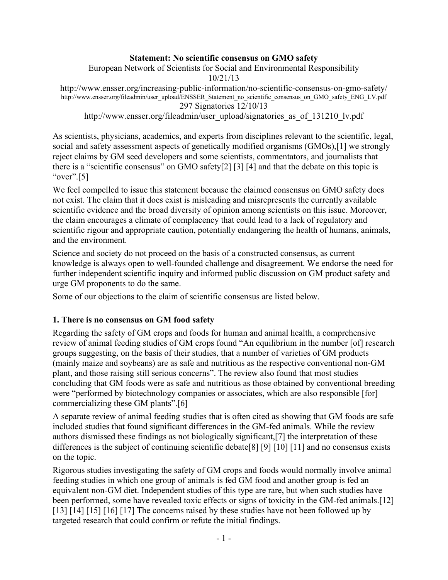#### **Statement: No scientific consensus on GMO safety**

European Network of Scientists for Social and Environmental Responsibility

10/21/13

http://www.ensser.org/increasing-public-information/no-scientific-consensus-on-gmo-safety/ http://www.ensser.org/fileadmin/user\_upload/ENSSER\_Statement\_no\_scientific\_consensus\_on\_GMO\_safety\_ENG\_LV.pdf 297 Signatories 12/10/13

http://www.ensser.org/fileadmin/user\_upload/signatories\_as\_of\_131210\_lv.pdf

As scientists, physicians, academics, and experts from disciplines relevant to the scientific, legal, social and safety assessment aspects of genetically modified organisms (GMOs),[1] we strongly reject claims by GM seed developers and some scientists, commentators, and journalists that there is a "scientific consensus" on GMO safety[2] [3] [4] and that the debate on this topic is "over". $[5]$ 

We feel compelled to issue this statement because the claimed consensus on GMO safety does not exist. The claim that it does exist is misleading and misrepresents the currently available scientific evidence and the broad diversity of opinion among scientists on this issue. Moreover, the claim encourages a climate of complacency that could lead to a lack of regulatory and scientific rigour and appropriate caution, potentially endangering the health of humans, animals, and the environment.

Science and society do not proceed on the basis of a constructed consensus, as current knowledge is always open to well-founded challenge and disagreement. We endorse the need for further independent scientific inquiry and informed public discussion on GM product safety and urge GM proponents to do the same.

Some of our objections to the claim of scientific consensus are listed below.

#### **1. There is no consensus on GM food safety**

Regarding the safety of GM crops and foods for human and animal health, a comprehensive review of animal feeding studies of GM crops found "An equilibrium in the number [of] research groups suggesting, on the basis of their studies, that a number of varieties of GM products (mainly maize and soybeans) are as safe and nutritious as the respective conventional non-GM plant, and those raising still serious concerns". The review also found that most studies concluding that GM foods were as safe and nutritious as those obtained by conventional breeding were "performed by biotechnology companies or associates, which are also responsible [for] commercializing these GM plants".[6]

A separate review of animal feeding studies that is often cited as showing that GM foods are safe included studies that found significant differences in the GM-fed animals. While the review authors dismissed these findings as not biologically significant,[7] the interpretation of these differences is the subject of continuing scientific debate[8] [9] [10] [11] and no consensus exists on the topic.

Rigorous studies investigating the safety of GM crops and foods would normally involve animal feeding studies in which one group of animals is fed GM food and another group is fed an equivalent non-GM diet. Independent studies of this type are rare, but when such studies have been performed, some have revealed toxic effects or signs of toxicity in the GM-fed animals.[12] [13] [14] [15] [16] [17] The concerns raised by these studies have not been followed up by targeted research that could confirm or refute the initial findings.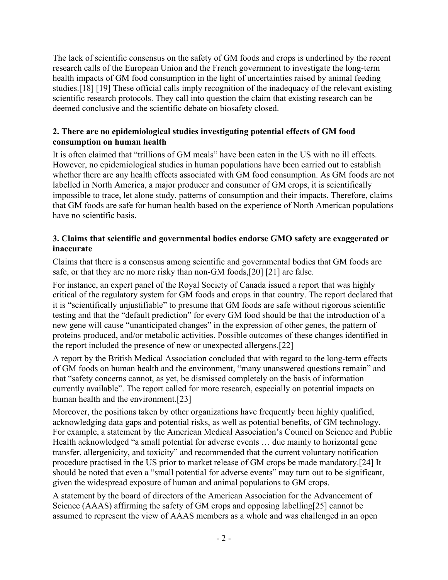The lack of scientific consensus on the safety of GM foods and crops is underlined by the recent research calls of the European Union and the French government to investigate the long-term health impacts of GM food consumption in the light of uncertainties raised by animal feeding studies.[18] [19] These official calls imply recognition of the inadequacy of the relevant existing scientific research protocols. They call into question the claim that existing research can be deemed conclusive and the scientific debate on biosafety closed.

#### **2. There are no epidemiological studies investigating potential effects of GM food consumption on human health**

It is often claimed that "trillions of GM meals" have been eaten in the US with no ill effects. However, no epidemiological studies in human populations have been carried out to establish whether there are any health effects associated with GM food consumption. As GM foods are not labelled in North America, a major producer and consumer of GM crops, it is scientifically impossible to trace, let alone study, patterns of consumption and their impacts. Therefore, claims that GM foods are safe for human health based on the experience of North American populations have no scientific basis.

### **3. Claims that scientific and governmental bodies endorse GMO safety are exaggerated or inaccurate**

Claims that there is a consensus among scientific and governmental bodies that GM foods are safe, or that they are no more risky than non-GM foods,[20] [21] are false.

For instance, an expert panel of the Royal Society of Canada issued a report that was highly critical of the regulatory system for GM foods and crops in that country. The report declared that it is "scientifically unjustifiable" to presume that GM foods are safe without rigorous scientific testing and that the "default prediction" for every GM food should be that the introduction of a new gene will cause "unanticipated changes" in the expression of other genes, the pattern of proteins produced, and/or metabolic activities. Possible outcomes of these changes identified in the report included the presence of new or unexpected allergens.[22]

A report by the British Medical Association concluded that with regard to the long-term effects of GM foods on human health and the environment, "many unanswered questions remain" and that "safety concerns cannot, as yet, be dismissed completely on the basis of information currently available". The report called for more research, especially on potential impacts on human health and the environment.<sup>[23]</sup>

Moreover, the positions taken by other organizations have frequently been highly qualified, acknowledging data gaps and potential risks, as well as potential benefits, of GM technology. For example, a statement by the American Medical Association's Council on Science and Public Health acknowledged "a small potential for adverse events … due mainly to horizontal gene transfer, allergenicity, and toxicity" and recommended that the current voluntary notification procedure practised in the US prior to market release of GM crops be made mandatory.[24] It should be noted that even a "small potential for adverse events" may turn out to be significant, given the widespread exposure of human and animal populations to GM crops.

A statement by the board of directors of the American Association for the Advancement of Science (AAAS) affirming the safety of GM crops and opposing labelling[25] cannot be assumed to represent the view of AAAS members as a whole and was challenged in an open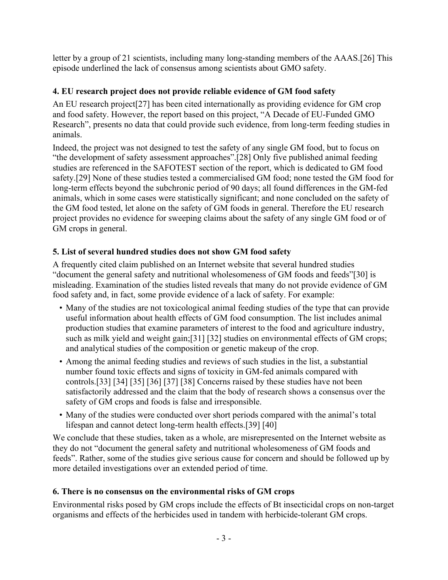letter by a group of 21 scientists, including many long-standing members of the AAAS.[26] This episode underlined the lack of consensus among scientists about GMO safety.

## **4. EU research project does not provide reliable evidence of GM food safety**

An EU research project[27] has been cited internationally as providing evidence for GM crop and food safety. However, the report based on this project, "A Decade of EU-Funded GMO Research", presents no data that could provide such evidence, from long-term feeding studies in animals.

Indeed, the project was not designed to test the safety of any single GM food, but to focus on "the development of safety assessment approaches".[28] Only five published animal feeding studies are referenced in the SAFOTEST section of the report, which is dedicated to GM food safety.[29] None of these studies tested a commercialised GM food; none tested the GM food for long-term effects beyond the subchronic period of 90 days; all found differences in the GM-fed animals, which in some cases were statistically significant; and none concluded on the safety of the GM food tested, let alone on the safety of GM foods in general. Therefore the EU research project provides no evidence for sweeping claims about the safety of any single GM food or of GM crops in general.

# **5. List of several hundred studies does not show GM food safety**

A frequently cited claim published on an Internet website that several hundred studies "document the general safety and nutritional wholesomeness of GM foods and feeds"[30] is misleading. Examination of the studies listed reveals that many do not provide evidence of GM food safety and, in fact, some provide evidence of a lack of safety. For example:

- Many of the studies are not toxicological animal feeding studies of the type that can provide useful information about health effects of GM food consumption. The list includes animal production studies that examine parameters of interest to the food and agriculture industry, such as milk yield and weight gain;[31] [32] studies on environmental effects of GM crops; and analytical studies of the composition or genetic makeup of the crop.
- Among the animal feeding studies and reviews of such studies in the list, a substantial number found toxic effects and signs of toxicity in GM-fed animals compared with controls.[33] [34] [35] [36] [37] [38] Concerns raised by these studies have not been satisfactorily addressed and the claim that the body of research shows a consensus over the safety of GM crops and foods is false and irresponsible.
- Many of the studies were conducted over short periods compared with the animal's total lifespan and cannot detect long-term health effects.[39] [40]

We conclude that these studies, taken as a whole, are misrepresented on the Internet website as they do not "document the general safety and nutritional wholesomeness of GM foods and feeds". Rather, some of the studies give serious cause for concern and should be followed up by more detailed investigations over an extended period of time.

### **6. There is no consensus on the environmental risks of GM crops**

Environmental risks posed by GM crops include the effects of Bt insecticidal crops on non-target organisms and effects of the herbicides used in tandem with herbicide-tolerant GM crops.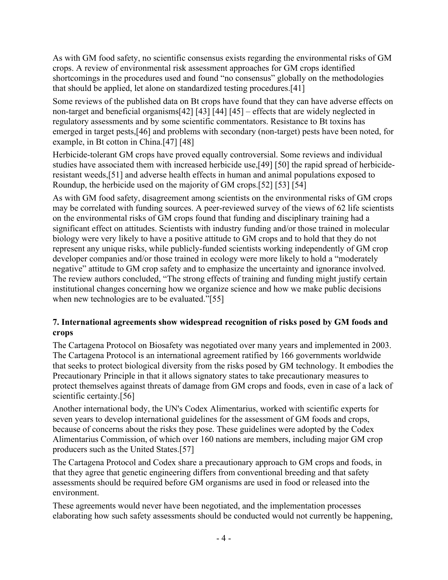As with GM food safety, no scientific consensus exists regarding the environmental risks of GM crops. A review of environmental risk assessment approaches for GM crops identified shortcomings in the procedures used and found "no consensus" globally on the methodologies that should be applied, let alone on standardized testing procedures.[41]

Some reviews of the published data on Bt crops have found that they can have adverse effects on non-target and beneficial organisms[42] [43] [44] [45] – effects that are widely neglected in regulatory assessments and by some scientific commentators. Resistance to Bt toxins has emerged in target pests,[46] and problems with secondary (non-target) pests have been noted, for example, in Bt cotton in China.[47] [48]

Herbicide-tolerant GM crops have proved equally controversial. Some reviews and individual studies have associated them with increased herbicide use,[49] [50] the rapid spread of herbicideresistant weeds,[51] and adverse health effects in human and animal populations exposed to Roundup, the herbicide used on the majority of GM crops.[52] [53] [54]

As with GM food safety, disagreement among scientists on the environmental risks of GM crops may be correlated with funding sources. A peer-reviewed survey of the views of 62 life scientists on the environmental risks of GM crops found that funding and disciplinary training had a significant effect on attitudes. Scientists with industry funding and/or those trained in molecular biology were very likely to have a positive attitude to GM crops and to hold that they do not represent any unique risks, while publicly-funded scientists working independently of GM crop developer companies and/or those trained in ecology were more likely to hold a "moderately negative" attitude to GM crop safety and to emphasize the uncertainty and ignorance involved. The review authors concluded, "The strong effects of training and funding might justify certain institutional changes concerning how we organize science and how we make public decisions when new technologies are to be evaluated."[55]

### **7. International agreements show widespread recognition of risks posed by GM foods and crops**

The Cartagena Protocol on Biosafety was negotiated over many years and implemented in 2003. The Cartagena Protocol is an international agreement ratified by 166 governments worldwide that seeks to protect biological diversity from the risks posed by GM technology. It embodies the Precautionary Principle in that it allows signatory states to take precautionary measures to protect themselves against threats of damage from GM crops and foods, even in case of a lack of scientific certainty.<sup>[56]</sup>

Another international body, the UN's Codex Alimentarius, worked with scientific experts for seven years to develop international guidelines for the assessment of GM foods and crops, because of concerns about the risks they pose. These guidelines were adopted by the Codex Alimentarius Commission, of which over 160 nations are members, including major GM crop producers such as the United States.[57]

The Cartagena Protocol and Codex share a precautionary approach to GM crops and foods, in that they agree that genetic engineering differs from conventional breeding and that safety assessments should be required before GM organisms are used in food or released into the environment.

These agreements would never have been negotiated, and the implementation processes elaborating how such safety assessments should be conducted would not currently be happening,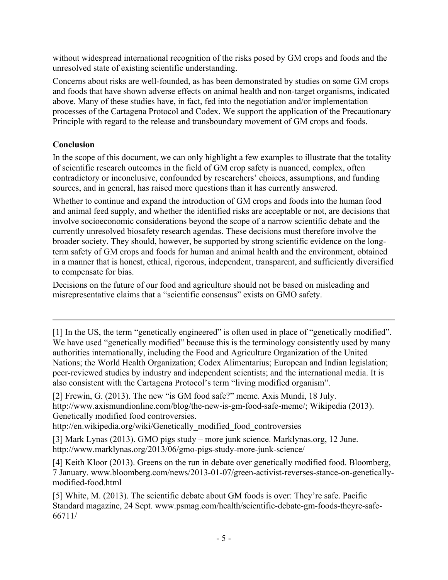without widespread international recognition of the risks posed by GM crops and foods and the unresolved state of existing scientific understanding.

Concerns about risks are well-founded, as has been demonstrated by studies on some GM crops and foods that have shown adverse effects on animal health and non-target organisms, indicated above. Many of these studies have, in fact, fed into the negotiation and/or implementation processes of the Cartagena Protocol and Codex. We support the application of the Precautionary Principle with regard to the release and transboundary movement of GM crops and foods.

## **Conclusion**

In the scope of this document, we can only highlight a few examples to illustrate that the totality of scientific research outcomes in the field of GM crop safety is nuanced, complex, often contradictory or inconclusive, confounded by researchers' choices, assumptions, and funding sources, and in general, has raised more questions than it has currently answered.

Whether to continue and expand the introduction of GM crops and foods into the human food and animal feed supply, and whether the identified risks are acceptable or not, are decisions that involve socioeconomic considerations beyond the scope of a narrow scientific debate and the currently unresolved biosafety research agendas. These decisions must therefore involve the broader society. They should, however, be supported by strong scientific evidence on the longterm safety of GM crops and foods for human and animal health and the environment, obtained in a manner that is honest, ethical, rigorous, independent, transparent, and sufficiently diversified to compensate for bias.

Decisions on the future of our food and agriculture should not be based on misleading and misrepresentative claims that a "scientific consensus" exists on GMO safety.

[2] Frewin, G. (2013). The new "is GM food safe?" meme. Axis Mundi, 18 July. http://www.axismundionline.com/blog/the-new-is-gm-food-safe-meme/; Wikipedia (2013). Genetically modified food controversies.

http://en.wikipedia.org/wiki/Genetically\_modified\_food\_controversies

[3] Mark Lynas (2013). GMO pigs study – more junk science. Marklynas.org, 12 June. http://www.marklynas.org/2013/06/gmo-pigs-study-more-junk-science/

[4] Keith Kloor (2013). Greens on the run in debate over genetically modified food. Bloomberg, 7 January. www.bloomberg.com/news/2013-01-07/green-activist-reverses-stance-on-geneticallymodified-food.html

[5] White, M. (2013). The scientific debate about GM foods is over: They're safe. Pacific Standard magazine, 24 Sept. www.psmag.com/health/scientific-debate-gm-foods-theyre-safe-66711/

<sup>[1]</sup> In the US, the term "genetically engineered" is often used in place of "genetically modified". We have used "genetically modified" because this is the terminology consistently used by many authorities internationally, including the Food and Agriculture Organization of the United Nations; the World Health Organization; Codex Alimentarius; European and Indian legislation; peer-reviewed studies by industry and independent scientists; and the international media. It is also consistent with the Cartagena Protocol's term "living modified organism".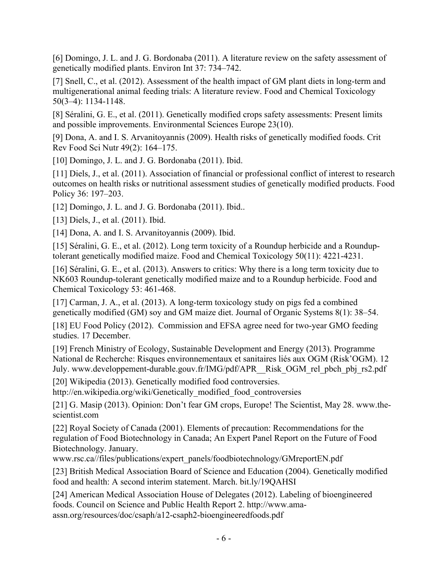[6] Domingo, J. L. and J. G. Bordonaba (2011). A literature review on the safety assessment of genetically modified plants. Environ Int 37: 734–742.

[7] Snell, C., et al. (2012). Assessment of the health impact of GM plant diets in long-term and multigenerational animal feeding trials: A literature review. Food and Chemical Toxicology 50(3–4): 1134-1148.

[8] Séralini, G. E., et al. (2011). Genetically modified crops safety assessments: Present limits and possible improvements. Environmental Sciences Europe 23(10).

[9] Dona, A. and I. S. Arvanitoyannis (2009). Health risks of genetically modified foods. Crit Rev Food Sci Nutr 49(2): 164–175.

[10] Domingo, J. L. and J. G. Bordonaba (2011). Ibid.

[11] Diels, J., et al. (2011). Association of financial or professional conflict of interest to research outcomes on health risks or nutritional assessment studies of genetically modified products. Food Policy 36: 197–203.

[12] Domingo, J. L. and J. G. Bordonaba (2011). Ibid...

[13] Diels, J., et al. (2011). Ibid.

[14] Dona, A. and I. S. Arvanitoyannis (2009). Ibid.

[15] Séralini, G. E., et al. (2012). Long term toxicity of a Roundup herbicide and a Rounduptolerant genetically modified maize. Food and Chemical Toxicology 50(11): 4221-4231.

[16] Séralini, G. E., et al. (2013). Answers to critics: Why there is a long term toxicity due to NK603 Roundup-tolerant genetically modified maize and to a Roundup herbicide. Food and Chemical Toxicology 53: 461-468.

[17] Carman, J. A., et al. (2013). A long-term toxicology study on pigs fed a combined genetically modified (GM) soy and GM maize diet. Journal of Organic Systems 8(1): 38–54.

[18] EU Food Policy (2012). Commission and EFSA agree need for two-year GMO feeding studies. 17 December.

[19] French Ministry of Ecology, Sustainable Development and Energy (2013). Programme National de Recherche: Risques environnementaux et sanitaires liés aux OGM (Risk'OGM). 12 July. www.developpement-durable.gouv.fr/IMG/pdf/APR\_\_Risk\_OGM\_rel\_pbch\_pbj\_rs2.pdf

[20] Wikipedia (2013). Genetically modified food controversies.

http://en.wikipedia.org/wiki/Genetically\_modified\_food\_controversies

[21] G. Masip (2013). Opinion: Don't fear GM crops, Europe! The Scientist, May 28. www.thescientist.com

[22] Royal Society of Canada (2001). Elements of precaution: Recommendations for the regulation of Food Biotechnology in Canada; An Expert Panel Report on the Future of Food Biotechnology. January.

www.rsc.ca//files/publications/expert\_panels/foodbiotechnology/GMreportEN.pdf

[23] British Medical Association Board of Science and Education (2004). Genetically modified food and health: A second interim statement. March. bit.ly/19QAHSI

[24] American Medical Association House of Delegates (2012). Labeling of bioengineered foods. Council on Science and Public Health Report 2. http://www.amaassn.org/resources/doc/csaph/a12-csaph2-bioengineeredfoods.pdf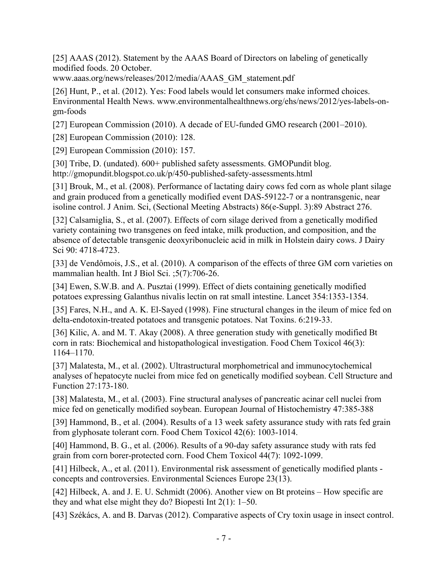[25] AAAS (2012). Statement by the AAAS Board of Directors on labeling of genetically modified foods. 20 October.

www.aaas.org/news/releases/2012/media/AAAS\_GM\_statement.pdf

[26] Hunt, P., et al. (2012). Yes: Food labels would let consumers make informed choices. Environmental Health News. www.environmentalhealthnews.org/ehs/news/2012/yes-labels-ongm-foods

[27] European Commission (2010). A decade of EU-funded GMO research (2001–2010).

[28] European Commission (2010): 128.

[29] European Commission (2010): 157.

[30] Tribe, D. (undated). 600+ published safety assessments. GMOPundit blog. http://gmopundit.blogspot.co.uk/p/450-published-safety-assessments.html

[31] Brouk, M., et al. (2008). Performance of lactating dairy cows fed corn as whole plant silage and grain produced from a genetically modified event DAS-59122-7 or a nontransgenic, near isoline control. J Anim. Sci, (Sectional Meeting Abstracts) 86(e-Suppl. 3):89 Abstract 276.

[32] Calsamiglia, S., et al. (2007). Effects of corn silage derived from a genetically modified variety containing two transgenes on feed intake, milk production, and composition, and the absence of detectable transgenic deoxyribonucleic acid in milk in Holstein dairy cows. J Dairy Sci 90: 4718-4723.

[33] de Vendômois, J.S., et al. (2010). A comparison of the effects of three GM corn varieties on mammalian health. Int J Biol Sci. ;5(7):706-26.

[34] Ewen, S.W.B. and A. Pusztai (1999). Effect of diets containing genetically modified potatoes expressing Galanthus nivalis lectin on rat small intestine. Lancet 354:1353-1354.

[35] Fares, N.H., and A. K. El-Sayed (1998). Fine structural changes in the ileum of mice fed on delta-endotoxin-treated potatoes and transgenic potatoes. Nat Toxins. 6:219-33.

[36] Kilic, A. and M. T. Akay (2008). A three generation study with genetically modified Bt corn in rats: Biochemical and histopathological investigation. Food Chem Toxicol 46(3): 1164–1170.

[37] Malatesta, M., et al. (2002). Ultrastructural morphometrical and immunocytochemical analyses of hepatocyte nuclei from mice fed on genetically modified soybean. Cell Structure and Function 27:173-180.

[38] Malatesta, M., et al. (2003). Fine structural analyses of pancreatic acinar cell nuclei from mice fed on genetically modified soybean. European Journal of Histochemistry 47:385-388

[39] Hammond, B., et al. (2004). Results of a 13 week safety assurance study with rats fed grain from glyphosate tolerant corn. Food Chem Toxicol 42(6): 1003-1014.

[40] Hammond, B. G., et al. (2006). Results of a 90-day safety assurance study with rats fed grain from corn borer-protected corn. Food Chem Toxicol 44(7): 1092-1099.

[41] Hilbeck, A., et al. (2011). Environmental risk assessment of genetically modified plants concepts and controversies. Environmental Sciences Europe 23(13).

[42] Hilbeck, A. and J. E. U. Schmidt (2006). Another view on Bt proteins – How specific are they and what else might they do? Biopesti Int 2(1): 1–50.

[43] Székács, A. and B. Darvas (2012). Comparative aspects of Cry toxin usage in insect control.